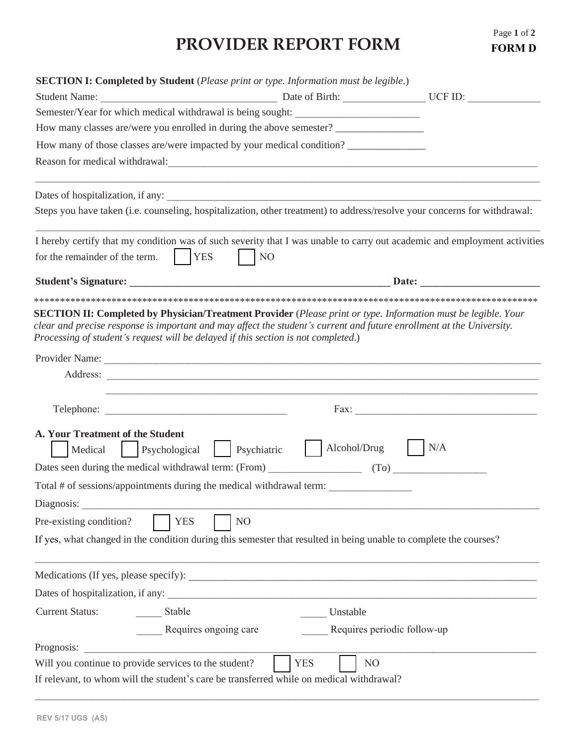# **PROVIDER REPORT FORM**

|                                                                                                                                                                                                                                         |                                                                                  | <b>SECTION I: Completed by Student</b> (Please print or type. Information must be legible.) |                                                                                                                                                                                                                                                                                            |
|-----------------------------------------------------------------------------------------------------------------------------------------------------------------------------------------------------------------------------------------|----------------------------------------------------------------------------------|---------------------------------------------------------------------------------------------|--------------------------------------------------------------------------------------------------------------------------------------------------------------------------------------------------------------------------------------------------------------------------------------------|
|                                                                                                                                                                                                                                         | Semester/Year for which medical withdrawal is being sought: ____________________ |                                                                                             |                                                                                                                                                                                                                                                                                            |
|                                                                                                                                                                                                                                         |                                                                                  |                                                                                             |                                                                                                                                                                                                                                                                                            |
| How many of those classes are/were impacted by your medical condition?                                                                                                                                                                  |                                                                                  |                                                                                             |                                                                                                                                                                                                                                                                                            |
|                                                                                                                                                                                                                                         |                                                                                  |                                                                                             |                                                                                                                                                                                                                                                                                            |
|                                                                                                                                                                                                                                         |                                                                                  |                                                                                             |                                                                                                                                                                                                                                                                                            |
|                                                                                                                                                                                                                                         |                                                                                  |                                                                                             |                                                                                                                                                                                                                                                                                            |
| Steps you have taken (i.e. counseling, hospitalization, other treatment) to address/resolve your concerns for withdrawal:                                                                                                               |                                                                                  |                                                                                             |                                                                                                                                                                                                                                                                                            |
| I hereby certify that my condition was of such severity that I was unable to carry out academic and employment activities                                                                                                               |                                                                                  |                                                                                             |                                                                                                                                                                                                                                                                                            |
| for the remainder of the term. $ $   YES                                                                                                                                                                                                | NQ                                                                               |                                                                                             |                                                                                                                                                                                                                                                                                            |
|                                                                                                                                                                                                                                         |                                                                                  |                                                                                             |                                                                                                                                                                                                                                                                                            |
|                                                                                                                                                                                                                                         |                                                                                  |                                                                                             |                                                                                                                                                                                                                                                                                            |
| Processing of student's request will be delayed if this section is not completed.)<br>Provider Name:                                                                                                                                    |                                                                                  |                                                                                             |                                                                                                                                                                                                                                                                                            |
|                                                                                                                                                                                                                                         |                                                                                  |                                                                                             | Fax: $\frac{1}{2}$ Fax: $\frac{1}{2}$ Fax: $\frac{1}{2}$ Fax: $\frac{1}{2}$ Fax: $\frac{1}{2}$ Fax: $\frac{1}{2}$ Fax: $\frac{1}{2}$ Fax: $\frac{1}{2}$ Fax: $\frac{1}{2}$ Fax: $\frac{1}{2}$ Fax: $\frac{1}{2}$ Fax: $\frac{1}{2}$ Fax: $\frac{1}{2}$ Fax: $\frac{1}{2}$ Fax: $\frac{1}{$ |
|                                                                                                                                                                                                                                         |                                                                                  |                                                                                             |                                                                                                                                                                                                                                                                                            |
| A. Your Treatment of the Student<br>Medical                                                                                                                                                                                             | Psychological   Psychiatric                                                      | $\vert$ Alcohol/Drug $\vert$                                                                | N/A                                                                                                                                                                                                                                                                                        |
|                                                                                                                                                                                                                                         |                                                                                  |                                                                                             |                                                                                                                                                                                                                                                                                            |
| Total # of sessions/appointments during the medical withdrawal term:                                                                                                                                                                    |                                                                                  |                                                                                             |                                                                                                                                                                                                                                                                                            |
|                                                                                                                                                                                                                                         |                                                                                  |                                                                                             |                                                                                                                                                                                                                                                                                            |
|                                                                                                                                                                                                                                         |                                                                                  |                                                                                             |                                                                                                                                                                                                                                                                                            |
|                                                                                                                                                                                                                                         |                                                                                  |                                                                                             |                                                                                                                                                                                                                                                                                            |
|                                                                                                                                                                                                                                         | <b>YES</b><br>N <sub>O</sub>                                                     |                                                                                             |                                                                                                                                                                                                                                                                                            |
|                                                                                                                                                                                                                                         |                                                                                  |                                                                                             |                                                                                                                                                                                                                                                                                            |
|                                                                                                                                                                                                                                         |                                                                                  |                                                                                             |                                                                                                                                                                                                                                                                                            |
|                                                                                                                                                                                                                                         |                                                                                  |                                                                                             |                                                                                                                                                                                                                                                                                            |
| Stable                                                                                                                                                                                                                                  |                                                                                  | Unstable                                                                                    |                                                                                                                                                                                                                                                                                            |
|                                                                                                                                                                                                                                         | Requires ongoing care                                                            | Requires periodic follow-up                                                                 |                                                                                                                                                                                                                                                                                            |
| Diagnosis:<br>Pre-existing condition?<br>If yes, what changed in the condition during this semester that resulted in being unable to complete the courses?<br>Dates of hospitalization, if any:<br><b>Current Status:</b><br>Prognosis: |                                                                                  |                                                                                             |                                                                                                                                                                                                                                                                                            |
| Will you continue to provide services to the student?                                                                                                                                                                                   | <b>YES</b>                                                                       | N <sub>O</sub>                                                                              |                                                                                                                                                                                                                                                                                            |